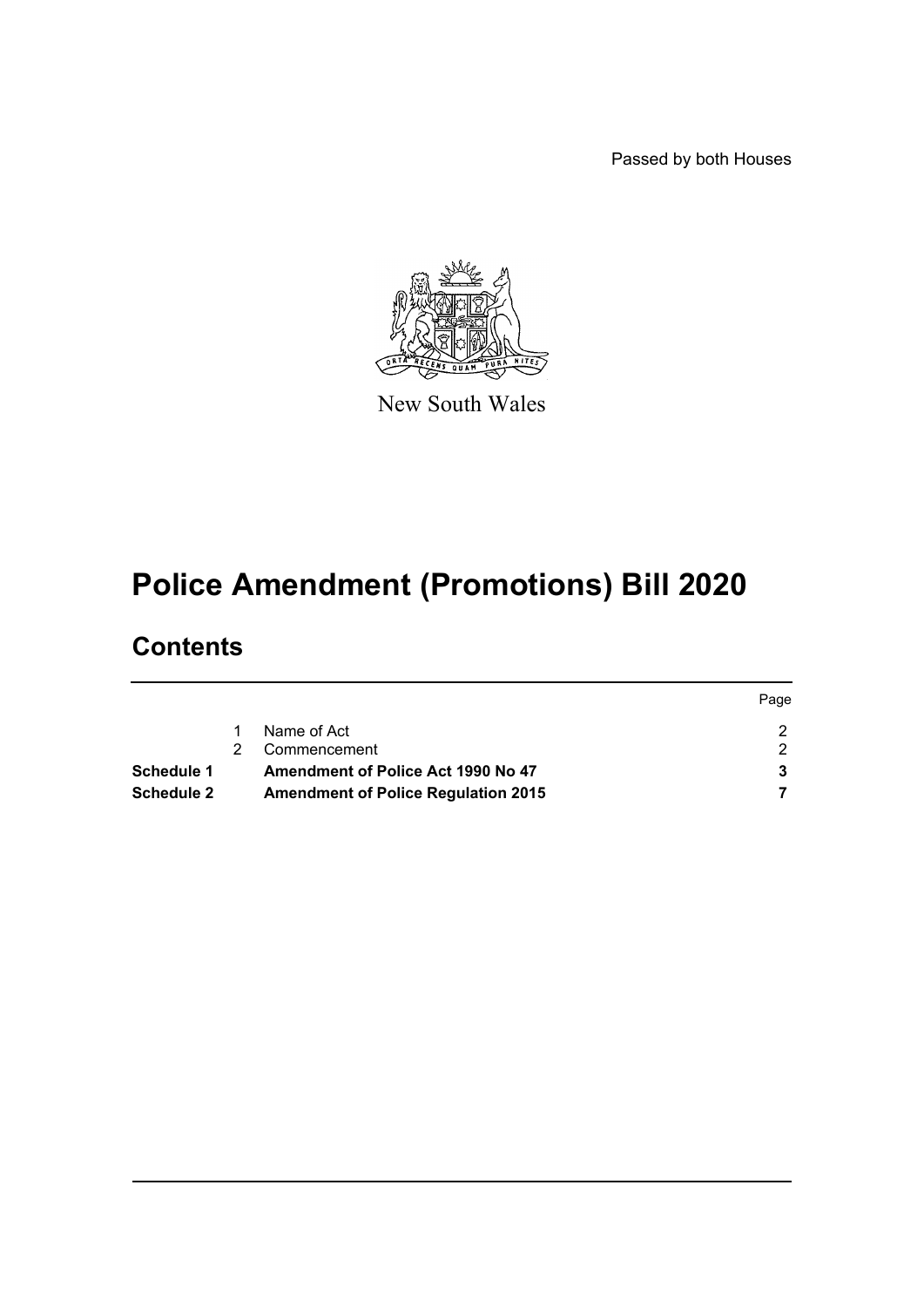Passed by both Houses



New South Wales

# **Police Amendment (Promotions) Bill 2020**

## **Contents**

|                   |                                            | Page |
|-------------------|--------------------------------------------|------|
|                   | Name of Act                                |      |
|                   | Commencement                               |      |
| Schedule 1        | Amendment of Police Act 1990 No 47         |      |
| <b>Schedule 2</b> | <b>Amendment of Police Regulation 2015</b> |      |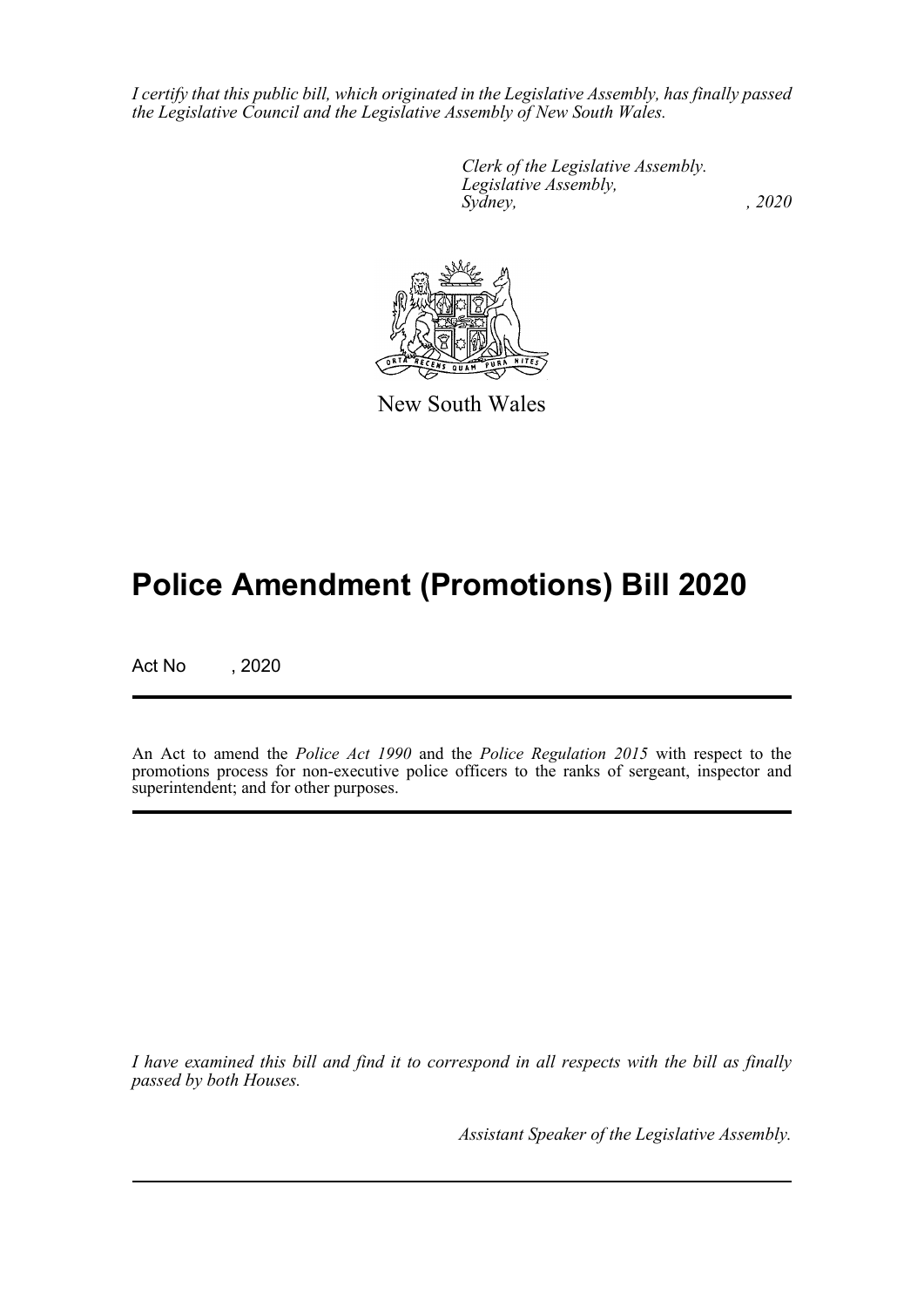*I certify that this public bill, which originated in the Legislative Assembly, has finally passed the Legislative Council and the Legislative Assembly of New South Wales.*

> *Clerk of the Legislative Assembly. Legislative Assembly, Sydney, , 2020*



New South Wales

# **Police Amendment (Promotions) Bill 2020**

Act No , 2020

An Act to amend the *Police Act 1990* and the *Police Regulation 2015* with respect to the promotions process for non-executive police officers to the ranks of sergeant, inspector and superintendent; and for other purposes.

*I have examined this bill and find it to correspond in all respects with the bill as finally passed by both Houses.*

*Assistant Speaker of the Legislative Assembly.*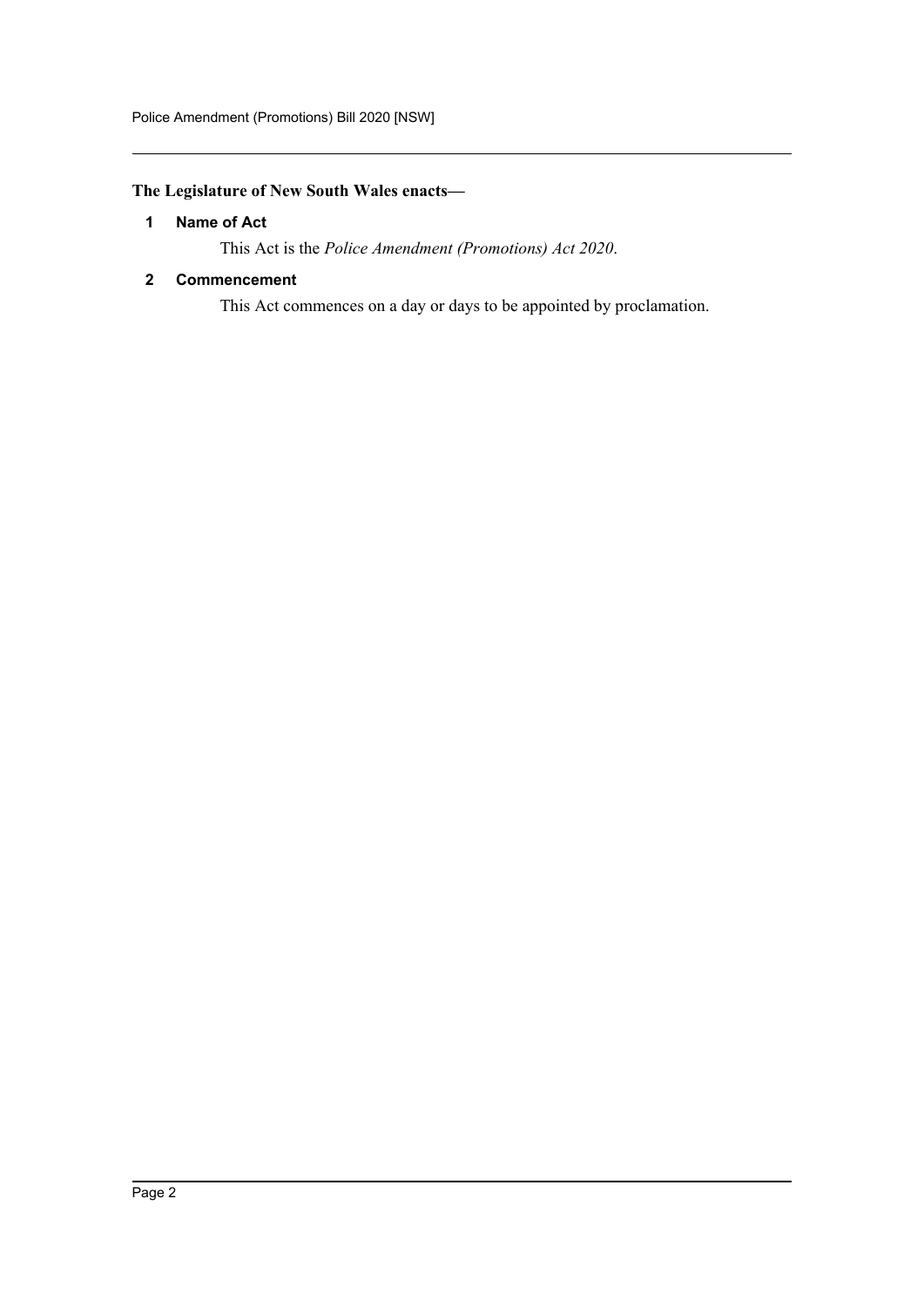## <span id="page-2-0"></span>**The Legislature of New South Wales enacts—**

## **1 Name of Act**

This Act is the *Police Amendment (Promotions) Act 2020*.

## <span id="page-2-1"></span>**2 Commencement**

This Act commences on a day or days to be appointed by proclamation.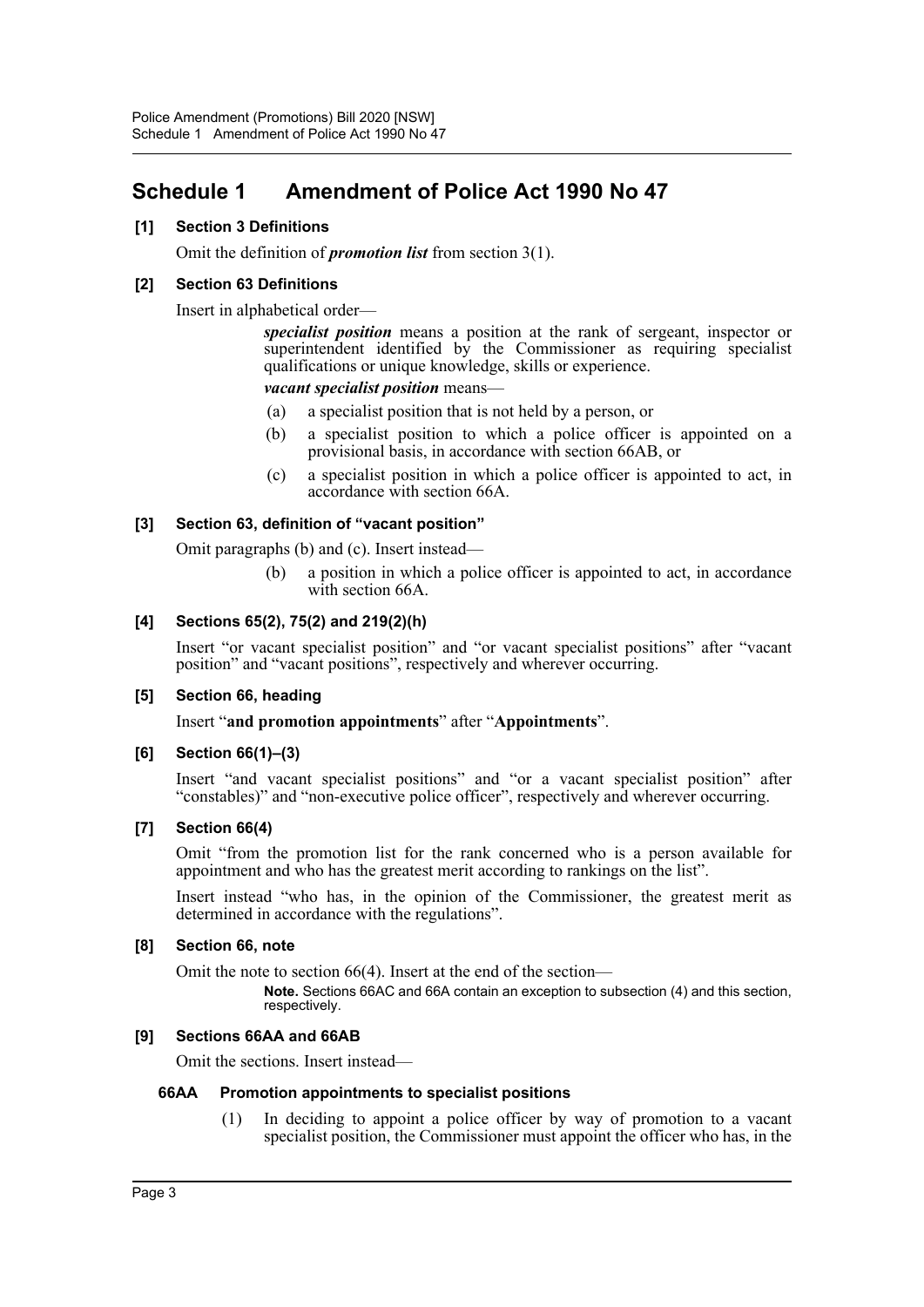## <span id="page-3-0"></span>**Schedule 1 Amendment of Police Act 1990 No 47**

## **[1] Section 3 Definitions**

Omit the definition of *promotion list* from section 3(1).

## **[2] Section 63 Definitions**

Insert in alphabetical order—

*specialist position* means a position at the rank of sergeant, inspector or superintendent identified by the Commissioner as requiring specialist qualifications or unique knowledge, skills or experience.

*vacant specialist position* means—

- (a) a specialist position that is not held by a person, or
- (b) a specialist position to which a police officer is appointed on a provisional basis, in accordance with section 66AB, or
- (c) a specialist position in which a police officer is appointed to act, in accordance with section 66A.

## **[3] Section 63, definition of "vacant position"**

Omit paragraphs (b) and (c). Insert instead—

(b) a position in which a police officer is appointed to act, in accordance with section 66A.

## **[4] Sections 65(2), 75(2) and 219(2)(h)**

Insert "or vacant specialist position" and "or vacant specialist positions" after "vacant position" and "vacant positions", respectively and wherever occurring.

### **[5] Section 66, heading**

Insert "**and promotion appointments**" after "**Appointments**".

### **[6] Section 66(1)–(3)**

Insert "and vacant specialist positions" and "or a vacant specialist position" after "constables)" and "non-executive police officer", respectively and wherever occurring.

### **[7] Section 66(4)**

Omit "from the promotion list for the rank concerned who is a person available for appointment and who has the greatest merit according to rankings on the list".

Insert instead "who has, in the opinion of the Commissioner, the greatest merit as determined in accordance with the regulations".

### **[8] Section 66, note**

Omit the note to section 66(4). Insert at the end of the section—

**Note.** Sections 66AC and 66A contain an exception to subsection (4) and this section, respectively.

### **[9] Sections 66AA and 66AB**

Omit the sections. Insert instead—

### **66AA Promotion appointments to specialist positions**

(1) In deciding to appoint a police officer by way of promotion to a vacant specialist position, the Commissioner must appoint the officer who has, in the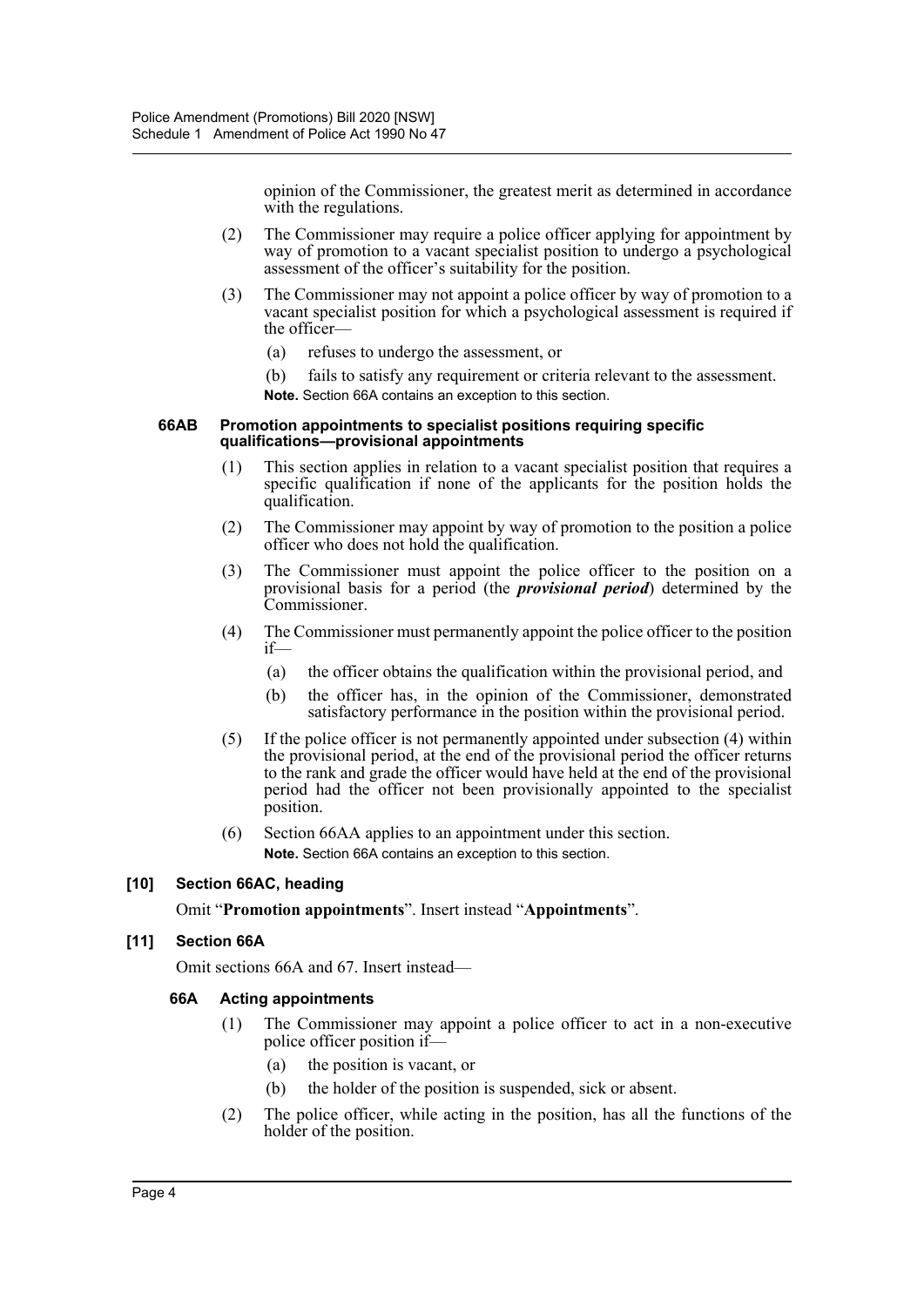opinion of the Commissioner, the greatest merit as determined in accordance with the regulations.

- (2) The Commissioner may require a police officer applying for appointment by way of promotion to a vacant specialist position to undergo a psychological assessment of the officer's suitability for the position.
- (3) The Commissioner may not appoint a police officer by way of promotion to a vacant specialist position for which a psychological assessment is required if the officer-
	- (a) refuses to undergo the assessment, or
	- (b) fails to satisfy any requirement or criteria relevant to the assessment. **Note.** Section 66A contains an exception to this section.

#### **66AB Promotion appointments to specialist positions requiring specific qualifications—provisional appointments**

- (1) This section applies in relation to a vacant specialist position that requires a specific qualification if none of the applicants for the position holds the qualification.
- (2) The Commissioner may appoint by way of promotion to the position a police officer who does not hold the qualification.
- (3) The Commissioner must appoint the police officer to the position on a provisional basis for a period (the *provisional period*) determined by the Commissioner.
- (4) The Commissioner must permanently appoint the police officer to the position if—
	- (a) the officer obtains the qualification within the provisional period, and
	- (b) the officer has, in the opinion of the Commissioner, demonstrated satisfactory performance in the position within the provisional period.
- (5) If the police officer is not permanently appointed under subsection (4) within the provisional period, at the end of the provisional period the officer returns to the rank and grade the officer would have held at the end of the provisional period had the officer not been provisionally appointed to the specialist position.
- (6) Section 66AA applies to an appointment under this section. **Note.** Section 66A contains an exception to this section.

## **[10] Section 66AC, heading**

Omit "**Promotion appointments**". Insert instead "**Appointments**".

## **[11] Section 66A**

Omit sections 66A and 67. Insert instead—

### **66A Acting appointments**

- (1) The Commissioner may appoint a police officer to act in a non-executive police officer position if—
	- (a) the position is vacant, or
	- (b) the holder of the position is suspended, sick or absent.
- (2) The police officer, while acting in the position, has all the functions of the holder of the position.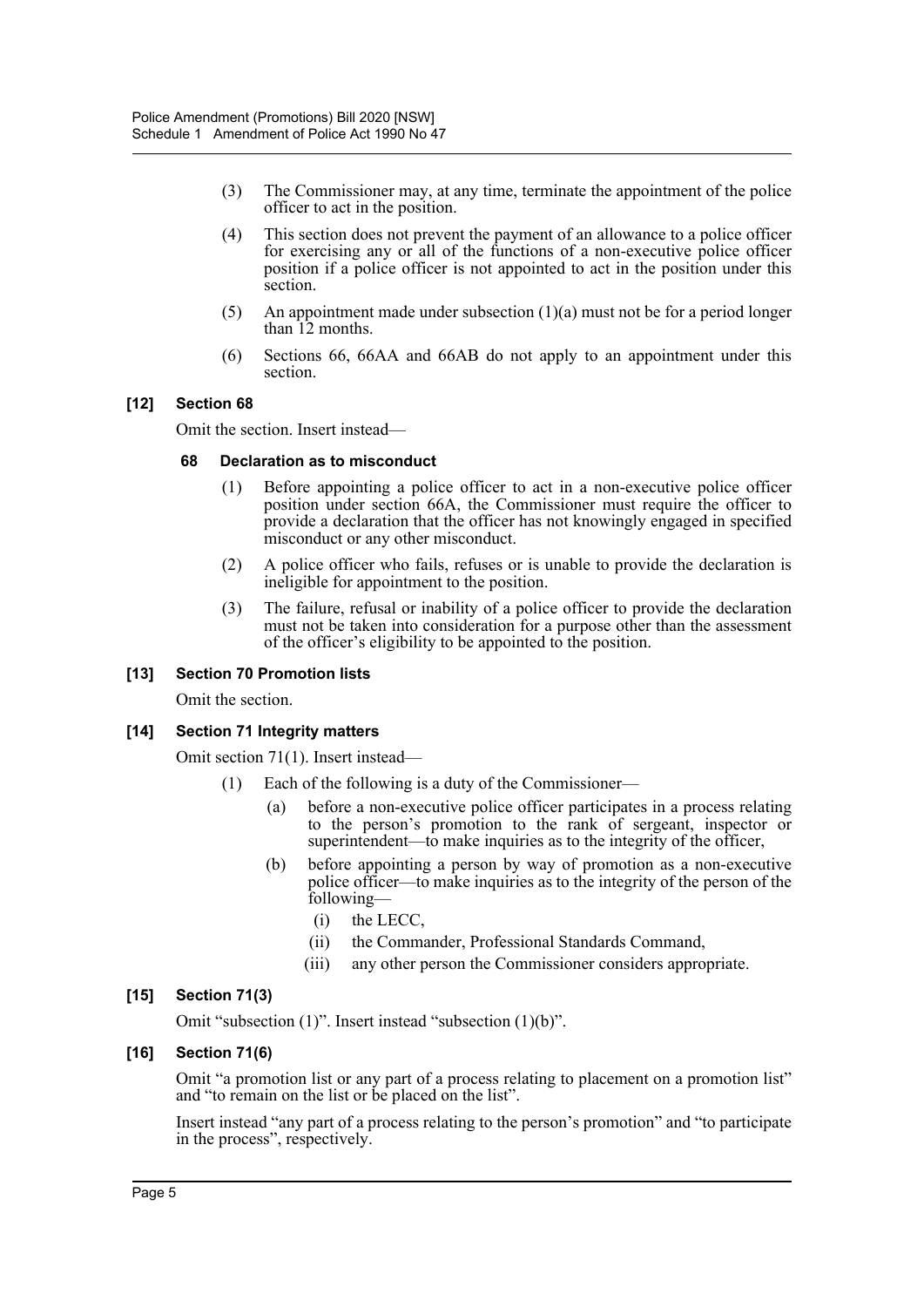- (3) The Commissioner may, at any time, terminate the appointment of the police officer to act in the position.
- (4) This section does not prevent the payment of an allowance to a police officer for exercising any or all of the functions of a non-executive police officer position if a police officer is not appointed to act in the position under this section.
- (5) An appointment made under subsection  $(1)(a)$  must not be for a period longer than 12 months.
- (6) Sections 66, 66AA and 66AB do not apply to an appointment under this section.

## **[12] Section 68**

Omit the section. Insert instead—

#### **68 Declaration as to misconduct**

- (1) Before appointing a police officer to act in a non-executive police officer position under section 66A, the Commissioner must require the officer to provide a declaration that the officer has not knowingly engaged in specified misconduct or any other misconduct.
- (2) A police officer who fails, refuses or is unable to provide the declaration is ineligible for appointment to the position.
- (3) The failure, refusal or inability of a police officer to provide the declaration must not be taken into consideration for a purpose other than the assessment of the officer's eligibility to be appointed to the position.

### **[13] Section 70 Promotion lists**

Omit the section.

### **[14] Section 71 Integrity matters**

Omit section 71(1). Insert instead—

- Each of the following is a duty of the Commissioner—
	- (a) before a non-executive police officer participates in a process relating to the person's promotion to the rank of sergeant, inspector or superintendent—to make inquiries as to the integrity of the officer,
	- (b) before appointing a person by way of promotion as a non-executive police officer—to make inquiries as to the integrity of the person of the following—
		- (i) the LECC,
		- (ii) the Commander, Professional Standards Command,
		- (iii) any other person the Commissioner considers appropriate.

### **[15] Section 71(3)**

Omit "subsection (1)". Insert instead "subsection (1)(b)".

### **[16] Section 71(6)**

Omit "a promotion list or any part of a process relating to placement on a promotion list" and "to remain on the list or be placed on the list".

Insert instead "any part of a process relating to the person's promotion" and "to participate in the process", respectively.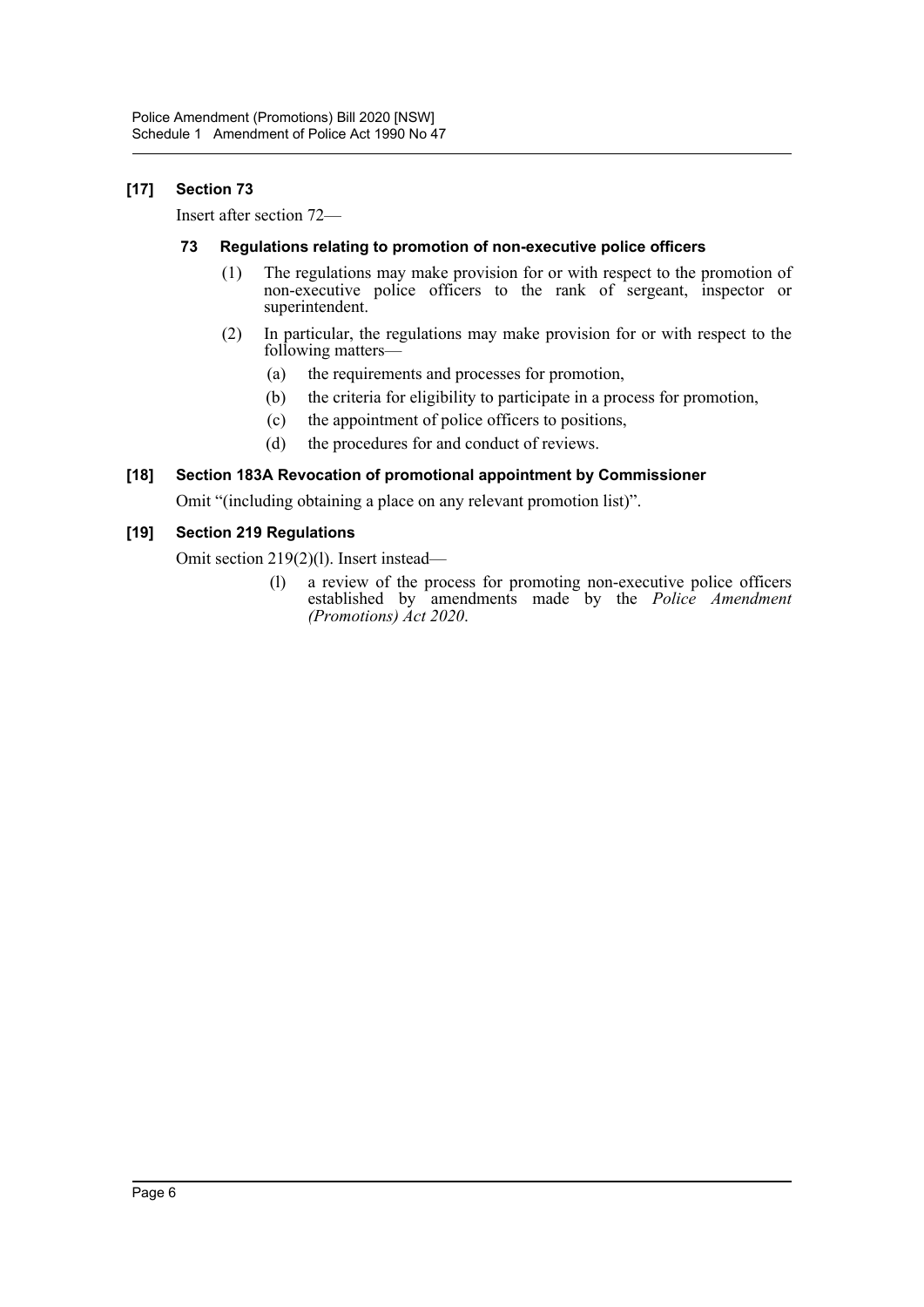## **[17] Section 73**

Insert after section 72—

## **73 Regulations relating to promotion of non-executive police officers**

- (1) The regulations may make provision for or with respect to the promotion of non-executive police officers to the rank of sergeant, inspector or superintendent.
- (2) In particular, the regulations may make provision for or with respect to the following matters—
	- (a) the requirements and processes for promotion,
	- (b) the criteria for eligibility to participate in a process for promotion,
	- (c) the appointment of police officers to positions,
	- (d) the procedures for and conduct of reviews.

## **[18] Section 183A Revocation of promotional appointment by Commissioner**

Omit "(including obtaining a place on any relevant promotion list)".

## **[19] Section 219 Regulations**

Omit section 219(2)(l). Insert instead—

(l) a review of the process for promoting non-executive police officers established by amendments made by the *Police Amendment (Promotions) Act 2020*.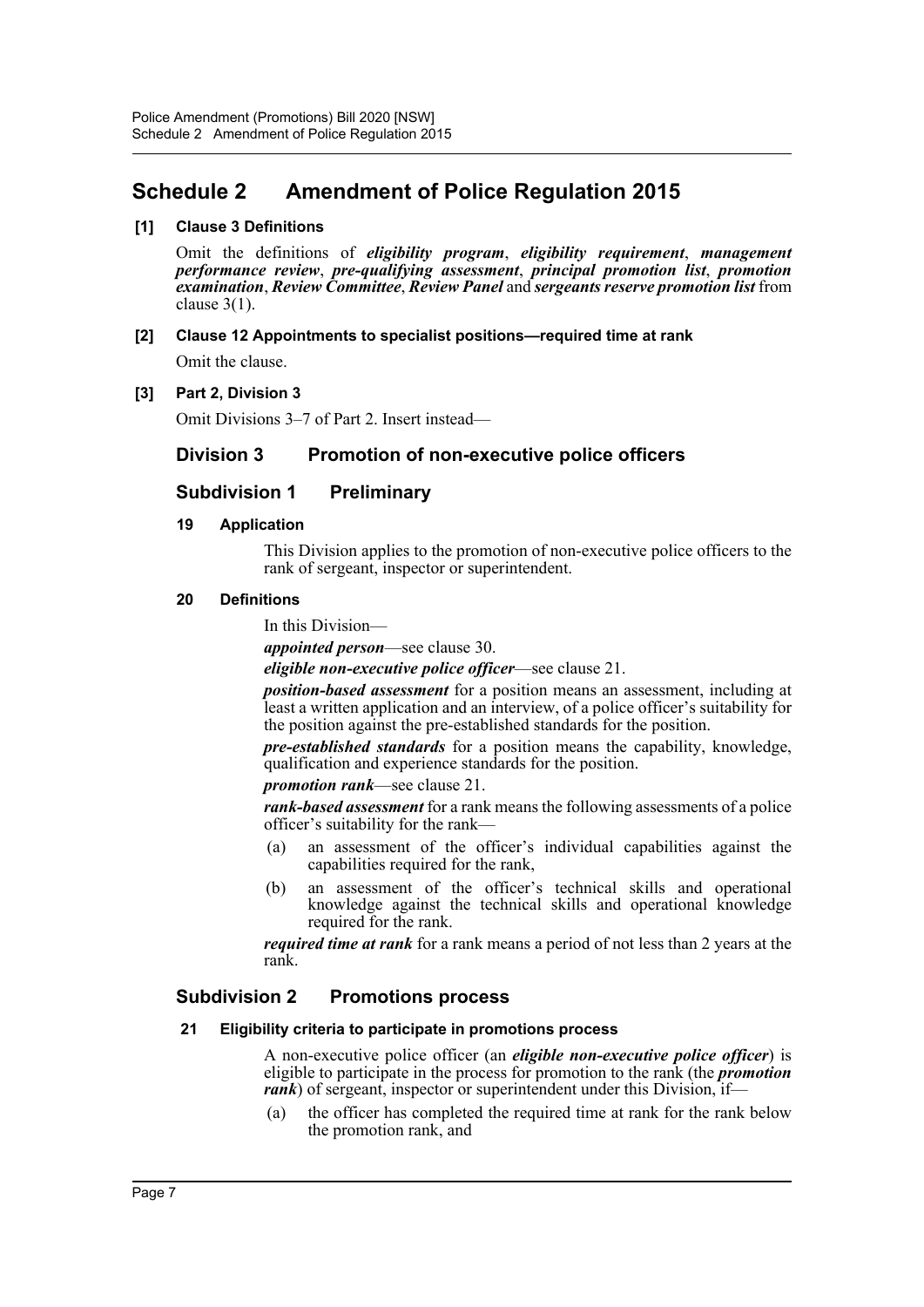## <span id="page-7-0"></span>**Schedule 2 Amendment of Police Regulation 2015**

## **[1] Clause 3 Definitions**

Omit the definitions of *eligibility program*, *eligibility requirement*, *management performance review*, *pre-qualifying assessment*, *principal promotion list*, *promotion examination*, *Review Committee*, *Review Panel* and *sergeants reserve promotion list* from clause 3(1).

**[2] Clause 12 Appointments to specialist positions—required time at rank** Omit the clause.

## **[3] Part 2, Division 3**

Omit Divisions 3–7 of Part 2. Insert instead—

## **Division 3 Promotion of non-executive police officers**

## **Subdivision 1 Preliminary**

### **19 Application**

This Division applies to the promotion of non-executive police officers to the rank of sergeant, inspector or superintendent.

## **20 Definitions**

In this Division—

*appointed person*—see clause 30.

*eligible non-executive police officer*—see clause 21.

*position-based assessment* for a position means an assessment, including at least a written application and an interview, of a police officer's suitability for the position against the pre-established standards for the position.

*pre-established standards* for a position means the capability, knowledge, qualification and experience standards for the position.

*promotion rank*—see clause 21.

*rank-based assessment* for a rank means the following assessments of a police officer's suitability for the rank—

- (a) an assessment of the officer's individual capabilities against the capabilities required for the rank,
- (b) an assessment of the officer's technical skills and operational knowledge against the technical skills and operational knowledge required for the rank.

*required time at rank* for a rank means a period of not less than 2 years at the rank.

## **Subdivision 2 Promotions process**

### **21 Eligibility criteria to participate in promotions process**

A non-executive police officer (an *eligible non-executive police officer*) is eligible to participate in the process for promotion to the rank (the *promotion rank*) of sergeant, inspector or superintendent under this Division, if—

(a) the officer has completed the required time at rank for the rank below the promotion rank, and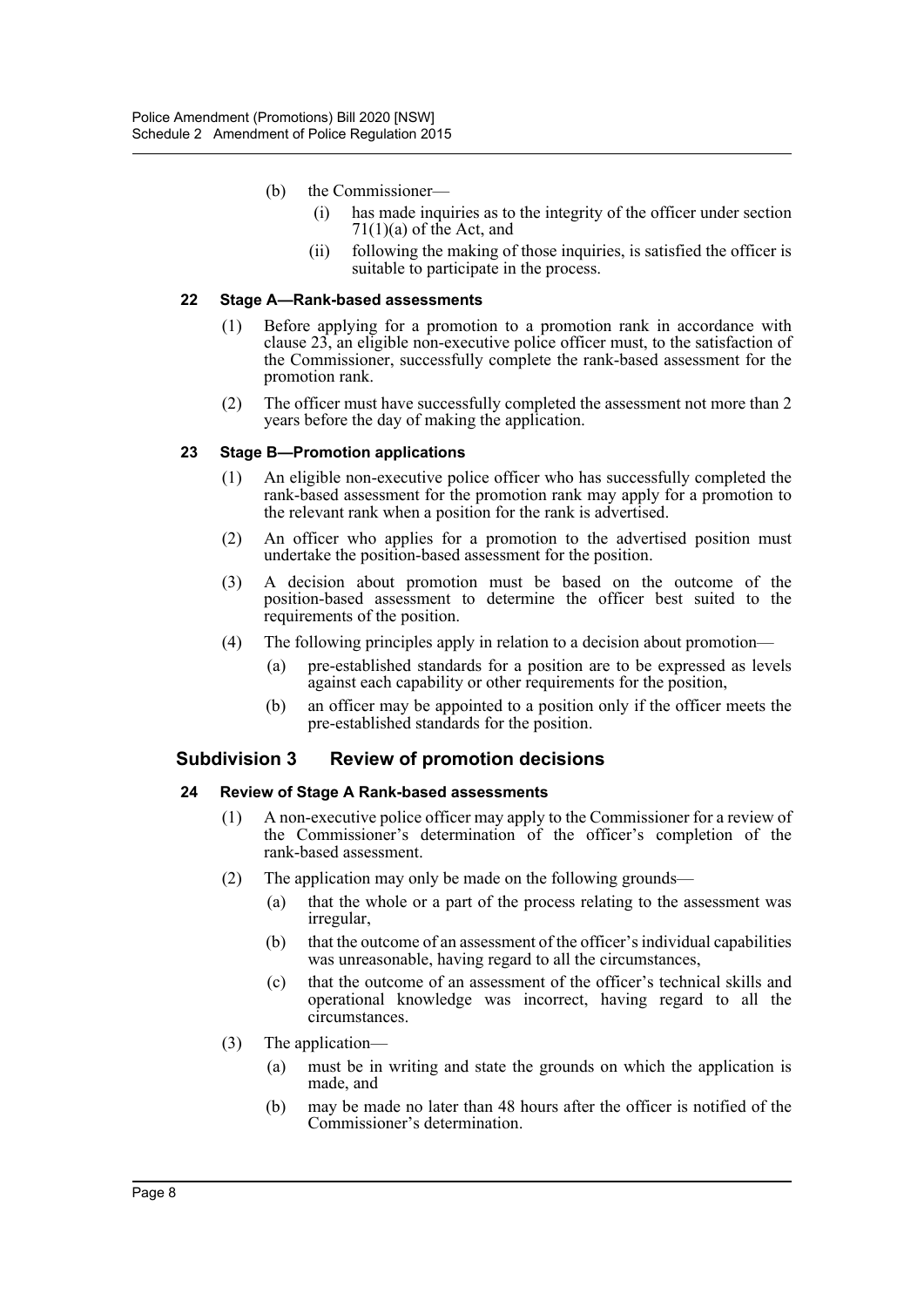- (b) the Commissioner—
	- (i) has made inquiries as to the integrity of the officer under section  $71(1)(a)$  of the Act, and
	- (ii) following the making of those inquiries, is satisfied the officer is suitable to participate in the process.

#### **22 Stage A—Rank-based assessments**

- (1) Before applying for a promotion to a promotion rank in accordance with clause 23, an eligible non-executive police officer must, to the satisfaction of the Commissioner, successfully complete the rank-based assessment for the promotion rank.
- (2) The officer must have successfully completed the assessment not more than 2 years before the day of making the application.

### **23 Stage B—Promotion applications**

- (1) An eligible non-executive police officer who has successfully completed the rank-based assessment for the promotion rank may apply for a promotion to the relevant rank when a position for the rank is advertised.
- (2) An officer who applies for a promotion to the advertised position must undertake the position-based assessment for the position.
- (3) A decision about promotion must be based on the outcome of the position-based assessment to determine the officer best suited to the requirements of the position.
- (4) The following principles apply in relation to a decision about promotion—
	- (a) pre-established standards for a position are to be expressed as levels against each capability or other requirements for the position,
	- (b) an officer may be appointed to a position only if the officer meets the pre-established standards for the position.

### **Subdivision 3 Review of promotion decisions**

#### **24 Review of Stage A Rank-based assessments**

- (1) A non-executive police officer may apply to the Commissioner for a review of the Commissioner's determination of the officer's completion of the rank-based assessment.
- (2) The application may only be made on the following grounds—
	- (a) that the whole or a part of the process relating to the assessment was irregular,
	- (b) that the outcome of an assessment of the officer's individual capabilities was unreasonable, having regard to all the circumstances,
	- (c) that the outcome of an assessment of the officer's technical skills and operational knowledge was incorrect, having regard to all the circumstances.
- (3) The application—
	- (a) must be in writing and state the grounds on which the application is made, and
	- (b) may be made no later than 48 hours after the officer is notified of the Commissioner's determination.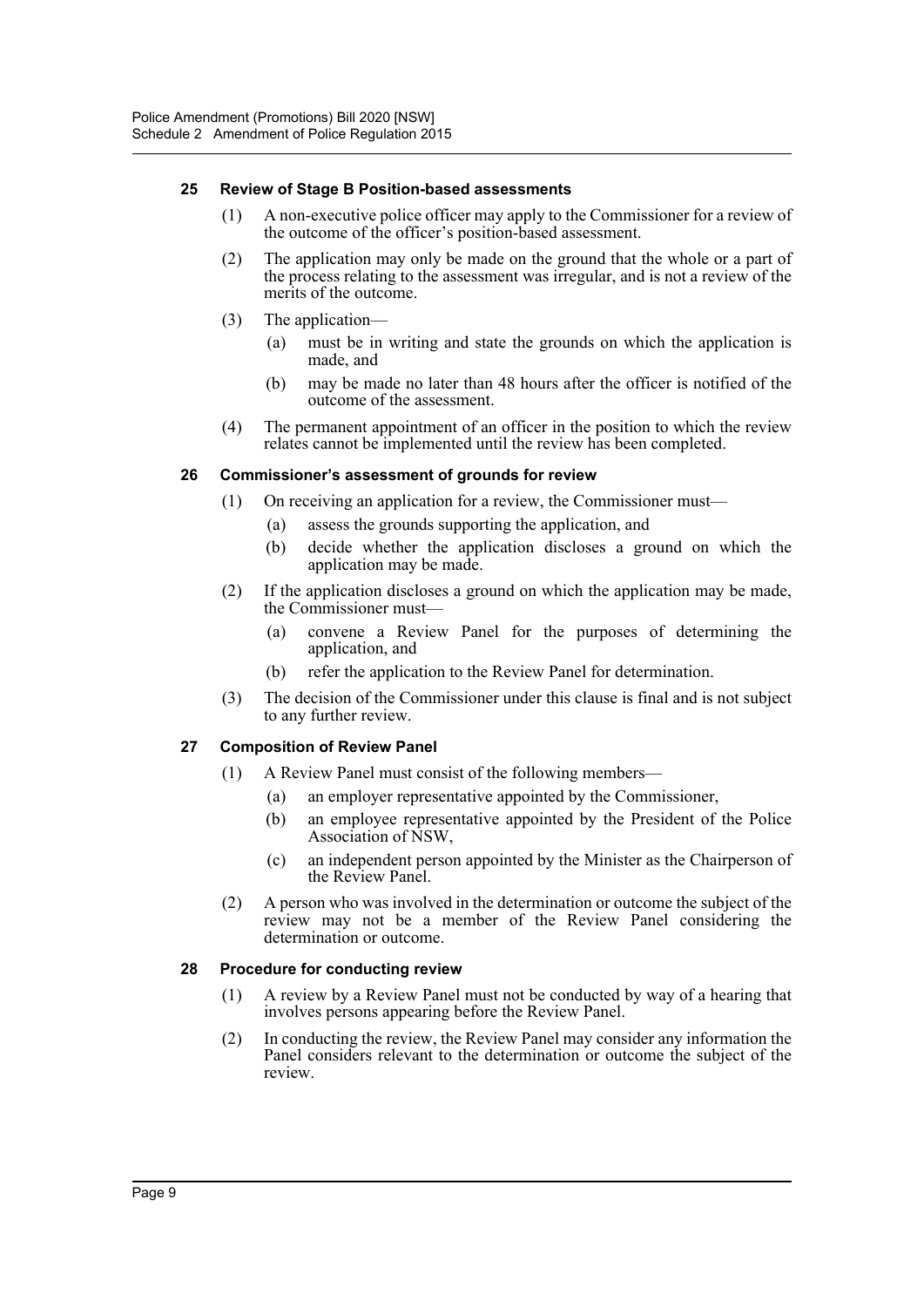## **25 Review of Stage B Position-based assessments**

- (1) A non-executive police officer may apply to the Commissioner for a review of the outcome of the officer's position-based assessment.
- (2) The application may only be made on the ground that the whole or a part of the process relating to the assessment was irregular, and is not a review of the merits of the outcome.
- (3) The application—
	- (a) must be in writing and state the grounds on which the application is made, and
	- (b) may be made no later than 48 hours after the officer is notified of the outcome of the assessment.
- (4) The permanent appointment of an officer in the position to which the review relates cannot be implemented until the review has been completed.

### **26 Commissioner's assessment of grounds for review**

- (1) On receiving an application for a review, the Commissioner must—
	- (a) assess the grounds supporting the application, and
	- (b) decide whether the application discloses a ground on which the application may be made.
- (2) If the application discloses a ground on which the application may be made, the Commissioner must—
	- (a) convene a Review Panel for the purposes of determining the application, and
	- (b) refer the application to the Review Panel for determination.
- (3) The decision of the Commissioner under this clause is final and is not subject to any further review.

### **27 Composition of Review Panel**

- (1) A Review Panel must consist of the following members—
	- (a) an employer representative appointed by the Commissioner,
	- (b) an employee representative appointed by the President of the Police Association of NSW,
	- (c) an independent person appointed by the Minister as the Chairperson of the Review Panel.
- (2) A person who was involved in the determination or outcome the subject of the review may not be a member of the Review Panel considering the determination or outcome.

### **28 Procedure for conducting review**

- (1) A review by a Review Panel must not be conducted by way of a hearing that involves persons appearing before the Review Panel.
- (2) In conducting the review, the Review Panel may consider any information the Panel considers relevant to the determination or outcome the subject of the review.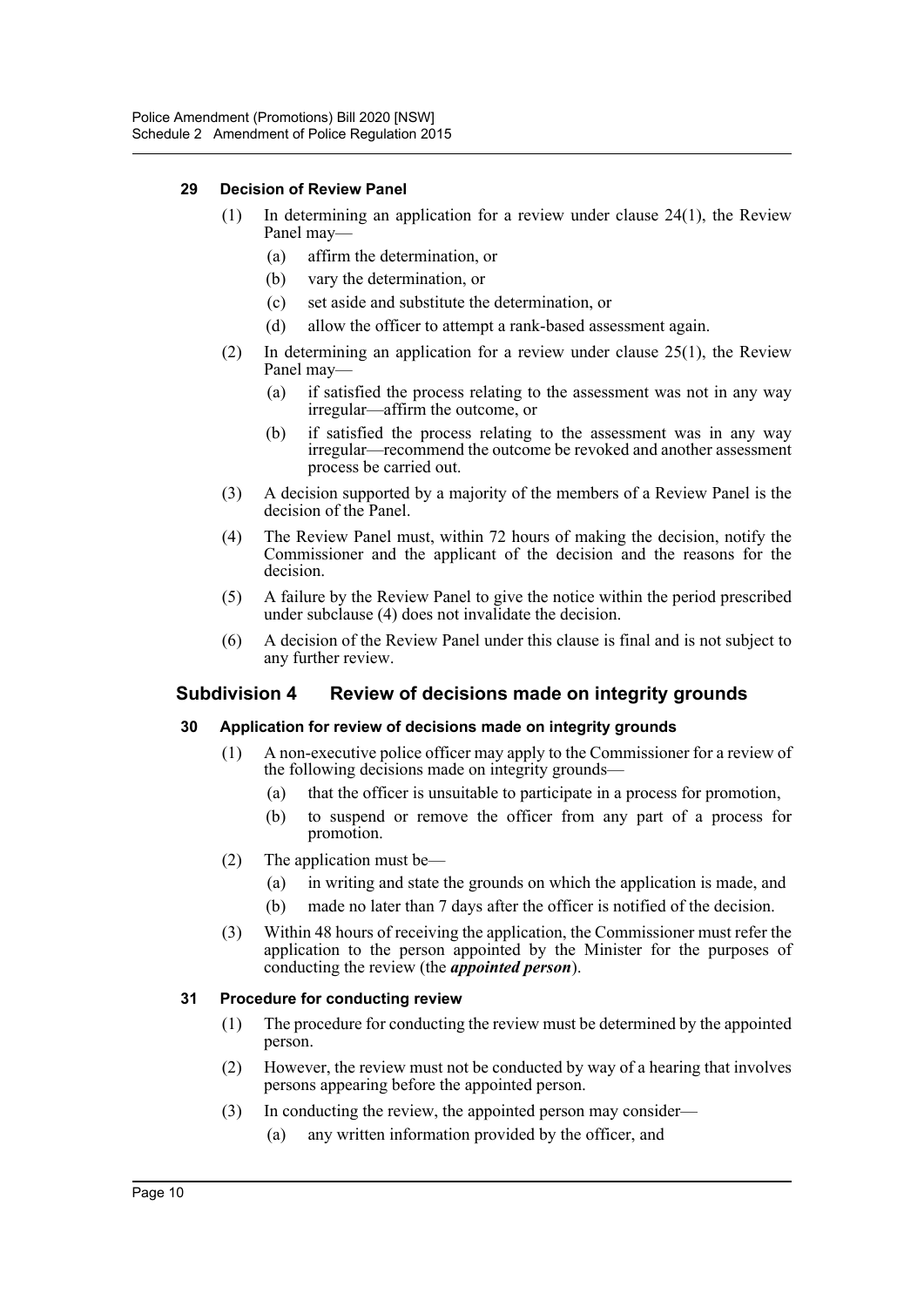## **29 Decision of Review Panel**

- (1) In determining an application for a review under clause 24(1), the Review Panel may—
	- (a) affirm the determination, or
	- (b) vary the determination, or
	- (c) set aside and substitute the determination, or
	- (d) allow the officer to attempt a rank-based assessment again.
- (2) In determining an application for a review under clause 25(1), the Review Panel may—
	- (a) if satisfied the process relating to the assessment was not in any way irregular—affirm the outcome, or
	- (b) if satisfied the process relating to the assessment was in any way irregular—recommend the outcome be revoked and another assessment process be carried out.
- (3) A decision supported by a majority of the members of a Review Panel is the decision of the Panel.
- (4) The Review Panel must, within 72 hours of making the decision, notify the Commissioner and the applicant of the decision and the reasons for the decision.
- (5) A failure by the Review Panel to give the notice within the period prescribed under subclause (4) does not invalidate the decision.
- (6) A decision of the Review Panel under this clause is final and is not subject to any further review.

## **Subdivision 4 Review of decisions made on integrity grounds**

### **30 Application for review of decisions made on integrity grounds**

- (1) A non-executive police officer may apply to the Commissioner for a review of the following decisions made on integrity grounds—
	- (a) that the officer is unsuitable to participate in a process for promotion,
	- (b) to suspend or remove the officer from any part of a process for promotion.
- (2) The application must be—
	- (a) in writing and state the grounds on which the application is made, and
	- (b) made no later than 7 days after the officer is notified of the decision.
- (3) Within 48 hours of receiving the application, the Commissioner must refer the application to the person appointed by the Minister for the purposes of conducting the review (the *appointed person*).

### **31 Procedure for conducting review**

- (1) The procedure for conducting the review must be determined by the appointed person.
- (2) However, the review must not be conducted by way of a hearing that involves persons appearing before the appointed person.
- (3) In conducting the review, the appointed person may consider— (a) any written information provided by the officer, and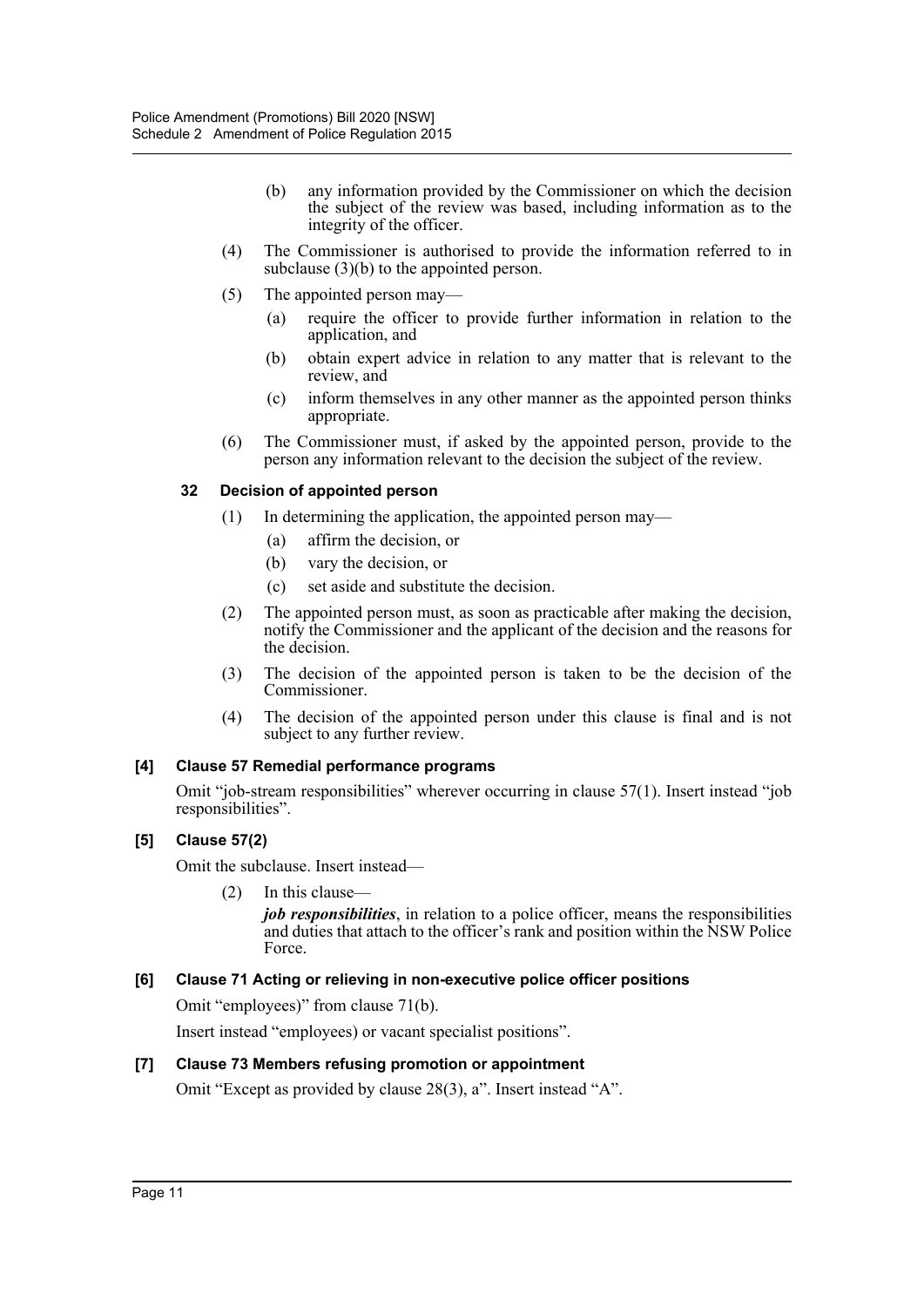- (b) any information provided by the Commissioner on which the decision the subject of the review was based, including information as to the integrity of the officer.
- (4) The Commissioner is authorised to provide the information referred to in subclause (3)(b) to the appointed person.
- (5) The appointed person may—
	- (a) require the officer to provide further information in relation to the application, and
	- (b) obtain expert advice in relation to any matter that is relevant to the review, and
	- (c) inform themselves in any other manner as the appointed person thinks appropriate.
- (6) The Commissioner must, if asked by the appointed person, provide to the person any information relevant to the decision the subject of the review.

## **32 Decision of appointed person**

- (1) In determining the application, the appointed person may—
	- (a) affirm the decision, or
	- (b) vary the decision, or
	- (c) set aside and substitute the decision.
- (2) The appointed person must, as soon as practicable after making the decision, notify the Commissioner and the applicant of the decision and the reasons for the decision.
- (3) The decision of the appointed person is taken to be the decision of the Commissioner.
- (4) The decision of the appointed person under this clause is final and is not subject to any further review.

### **[4] Clause 57 Remedial performance programs**

Omit "job-stream responsibilities" wherever occurring in clause 57(1). Insert instead "job responsibilities".

## **[5] Clause 57(2)**

Omit the subclause. Insert instead—

### (2) In this clause—

*job responsibilities*, in relation to a police officer, means the responsibilities and duties that attach to the officer's rank and position within the NSW Police Force.

## **[6] Clause 71 Acting or relieving in non-executive police officer positions**

Omit "employees)" from clause 71(b).

Insert instead "employees) or vacant specialist positions".

## **[7] Clause 73 Members refusing promotion or appointment**

Omit "Except as provided by clause 28(3), a". Insert instead "A".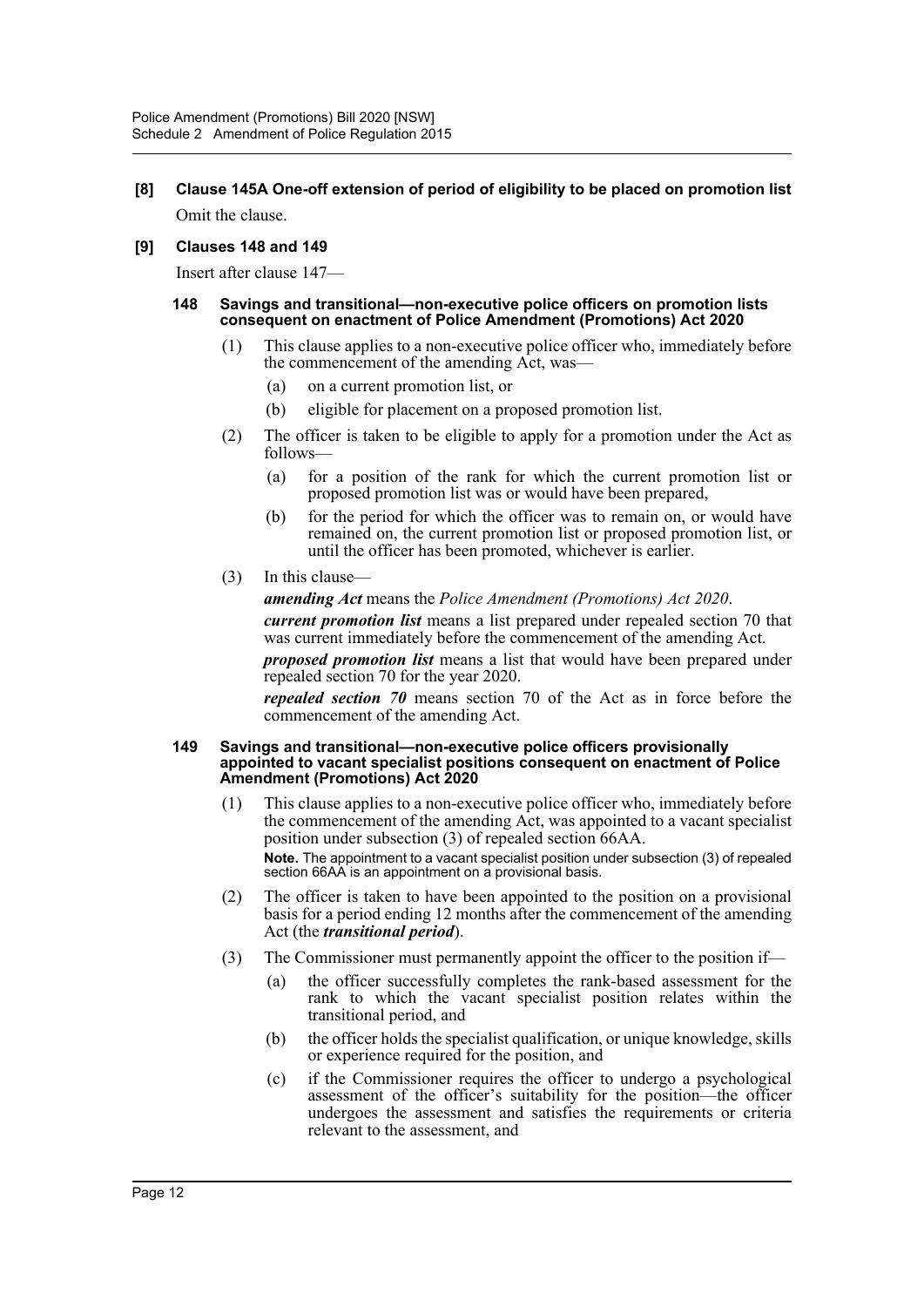**[8] Clause 145A One-off extension of period of eligibility to be placed on promotion list** Omit the clause.

## **[9] Clauses 148 and 149**

Insert after clause 147—

#### **148 Savings and transitional—non-executive police officers on promotion lists consequent on enactment of Police Amendment (Promotions) Act 2020**

- (1) This clause applies to a non-executive police officer who, immediately before the commencement of the amending Act, was—
	- (a) on a current promotion list, or
	- (b) eligible for placement on a proposed promotion list.
- (2) The officer is taken to be eligible to apply for a promotion under the Act as follows—
	- (a) for a position of the rank for which the current promotion list or proposed promotion list was or would have been prepared,
	- (b) for the period for which the officer was to remain on, or would have remained on, the current promotion list or proposed promotion list, or until the officer has been promoted, whichever is earlier.
- (3) In this clause—

*amending Act* means the *Police Amendment (Promotions) Act 2020*.

*current promotion list* means a list prepared under repealed section 70 that was current immediately before the commencement of the amending Act.

*proposed promotion list* means a list that would have been prepared under repealed section 70 for the year 2020.

*repealed section 70* means section 70 of the Act as in force before the commencement of the amending Act.

#### **149 Savings and transitional—non-executive police officers provisionally appointed to vacant specialist positions consequent on enactment of Police Amendment (Promotions) Act 2020**

- (1) This clause applies to a non-executive police officer who, immediately before the commencement of the amending Act, was appointed to a vacant specialist position under subsection (3) of repealed section 66AA. **Note.** The appointment to a vacant specialist position under subsection (3) of repealed section 66AA is an appointment on a provisional basis.
- (2) The officer is taken to have been appointed to the position on a provisional basis for a period ending 12 months after the commencement of the amending Act (the *transitional period*).
- (3) The Commissioner must permanently appoint the officer to the position if—
	- (a) the officer successfully completes the rank-based assessment for the rank to which the vacant specialist position relates within the transitional period, and
	- (b) the officer holds the specialist qualification, or unique knowledge, skills or experience required for the position, and
	- (c) if the Commissioner requires the officer to undergo a psychological assessment of the officer's suitability for the position—the officer undergoes the assessment and satisfies the requirements or criteria relevant to the assessment, and